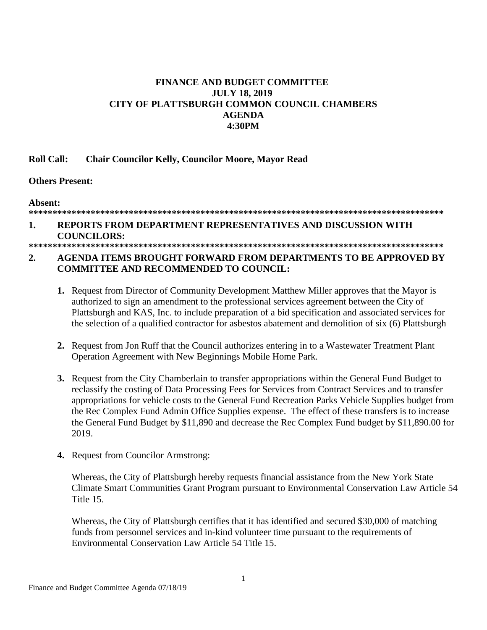## **FINANCE AND BUDGET COMMITTEE JULY 18, 2019** CITY OF PLATTSBURGH COMMON COUNCIL CHAMBERS **AGENDA 4:30PM**

#### **Roll Call: Chair Councilor Kelly, Councilor Moore, Mayor Read**

### **Others Present:**

Absent:

# 

#### REPORTS FROM DEPARTMENT REPRESENTATIVES AND DISCUSSION WITH 1. **COUNCILORS:**

### $2.$ AGENDA ITEMS BROUGHT FORWARD FROM DEPARTMENTS TO BE APPROVED BY **COMMITTEE AND RECOMMENDED TO COUNCIL:**

- 1. Request from Director of Community Development Matthew Miller approves that the Mayor is authorized to sign an amendment to the professional services agreement between the City of Plattsburgh and KAS, Inc. to include preparation of a bid specification and associated services for the selection of a qualified contractor for asbestos abatement and demolition of six (6) Plattsburgh
- 2. Request from Jon Ruff that the Council authorizes entering in to a Wastewater Treatment Plant Operation Agreement with New Beginnings Mobile Home Park.
- 3. Request from the City Chamberlain to transfer appropriations within the General Fund Budget to reclassify the costing of Data Processing Fees for Services from Contract Services and to transfer appropriations for vehicle costs to the General Fund Recreation Parks Vehicle Supplies budget from the Rec Complex Fund Admin Office Supplies expense. The effect of these transfers is to increase the General Fund Budget by \$11,890 and decrease the Rec Complex Fund budget by \$11,890.00 for 2019.
- 4. Request from Councilor Armstrong:

Whereas, the City of Plattsburgh hereby requests financial assistance from the New York State Climate Smart Communities Grant Program pursuant to Environmental Conservation Law Article 54 Title 15.

Whereas, the City of Plattsburgh certifies that it has identified and secured \$30,000 of matching funds from personnel services and in-kind volunteer time pursuant to the requirements of Environmental Conservation Law Article 54 Title 15.